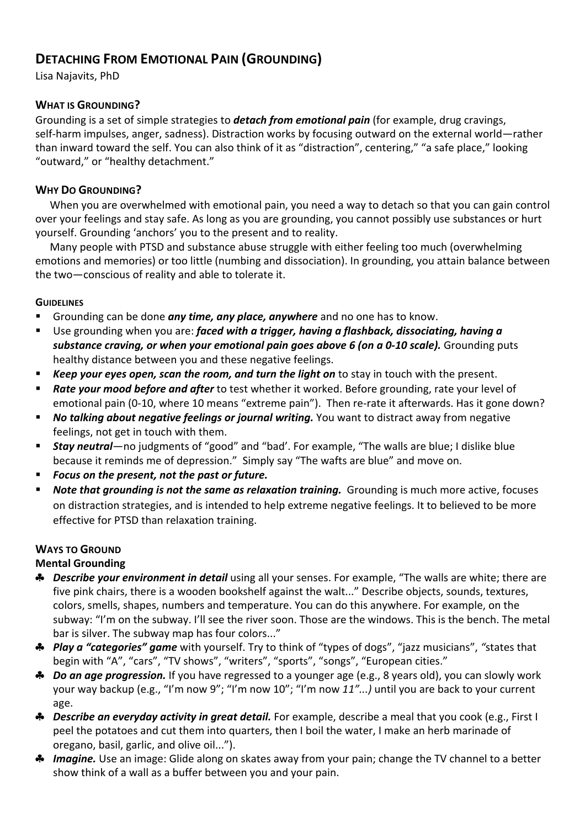# **DETACHING FROM EMOTIONAL PAIN (GROUNDING)**

Lisa Najavits, PhD

### **WHAT IS GROUNDING?**

Grounding is a set of simple strategies to **detach from emotional pain** (for example, drug cravings, self-harm impulses, anger, sadness). Distraction works by focusing outward on the external world—rather than inward toward the self. You can also think of it as "distraction", centering," "a safe place," looking "outward," or "healthy detachment."

### **WHY DO GROUNDING?**

When you are overwhelmed with emotional pain, you need a way to detach so that you can gain control over your feelings and stay safe. As long as you are grounding, you cannot possibly use substances or hurt yourself. Grounding 'anchors' you to the present and to reality.

Many people with PTSD and substance abuse struggle with either feeling too much (overwhelming emotions and memories) or too little (numbing and dissociation). In grounding, you attain balance between the two—conscious of reality and able to tolerate it.

#### **GUIDELINES**

- **E** Grounding can be done any time, any place, anywhere and no one has to know.
- Use grounding when you are: *faced with a trigger, having a flashback, dissociating, having a* **substance craving, or when your emotional pain goes above 6 (on a 0-10 scale).** Grounding puts healthy distance between you and these negative feelings.
- **Keep your eyes open, scan the room, and turn the light on** to stay in touch with the present.
- **Rate your mood before and after** to test whether it worked. Before grounding, rate your level of emotional pain (0-10, where 10 means "extreme pain"). Then re-rate it afterwards. Has it gone down?
- *No talking about negative feelings or journal writing.* You want to distract away from negative feelings, not get in touch with them.
- **Stay neutral**—no judgments of "good" and "bad'. For example, "The walls are blue; I dislike blue because it reminds me of depression." Simply say "The wafts are blue" and move on.
- Focus on the present, not the past or future.
- **Note that grounding is not the same as relaxation training.** Grounding is much more active, focuses on distraction strategies, and is intended to help extreme negative feelings. It to believed to be more effective for PTSD than relaxation training.

### **WAYS TO GROUND**

### **Mental Grounding**

- **♣** *Describe your environment in detail* using all your senses. For example, "The walls are white; there are five pink chairs, there is a wooden bookshelf against the walt..." Describe objects, sounds, textures, colors, smells, shapes, numbers and temperature. You can do this anywhere. For example, on the subway: "I'm on the subway. I'll see the river soon. Those are the windows. This is the bench. The metal bar is silver. The subway map has four colors..."
- \* *Play a "categories" game* with yourself. Try to think of "types of dogs", "jazz musicians", "states that begin with "A", "cars", "TV shows", "writers", "sports", "songs", "European cities."
- **→** *Do an age progression.* If you have regressed to a younger age (e.g., 8 years old), you can slowly work your way backup (e.g., "I'm now 9"; "I'm now 10"; "I'm now 11"...) until you are back to your current age.
- **♣** *Describe an everyday activity in great detail.* For example, describe a meal that you cook (e.g., First I peel the potatoes and cut them into quarters, then I boil the water, I make an herb marinade of oregano, basil, garlic, and olive oil...").
- **→** *Imagine*. Use an image: Glide along on skates away from your pain; change the TV channel to a better show think of a wall as a buffer between you and your pain.